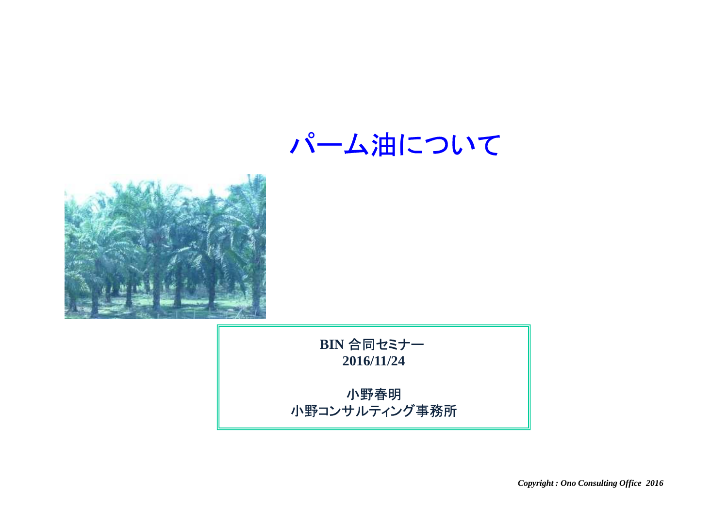パーム油について



**BIN** 合同セミナー**2016/11/24**

小野春明小野コンサルティング事務所

*Copyright : Ono Consulting Office 2016*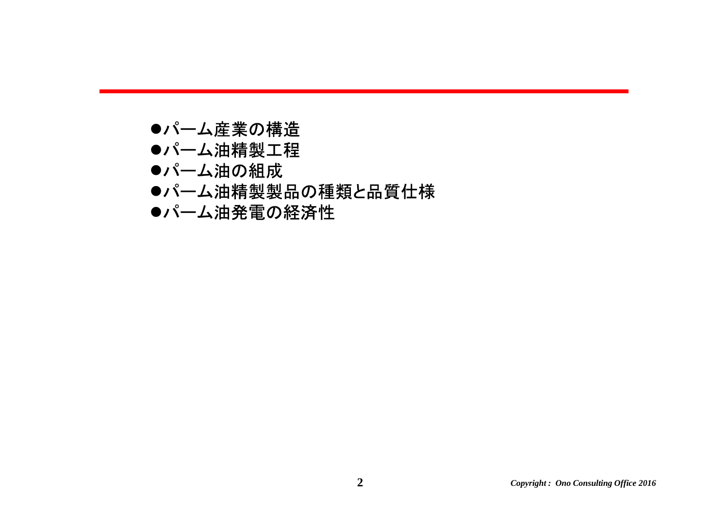- ●パーム産業の構造
- ●パーム油精製工程
- ●パーム油の組成
- ●パーム油精製製品の種類と品質仕様
- ●パーム油発電の経済性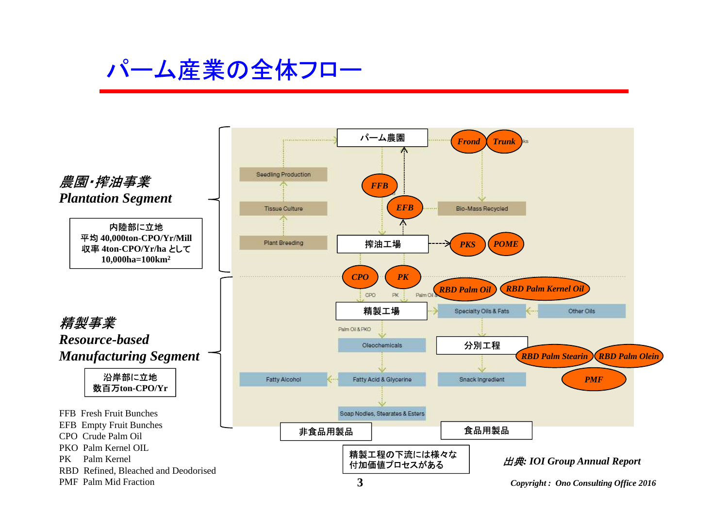### パーム産業の全体フロー

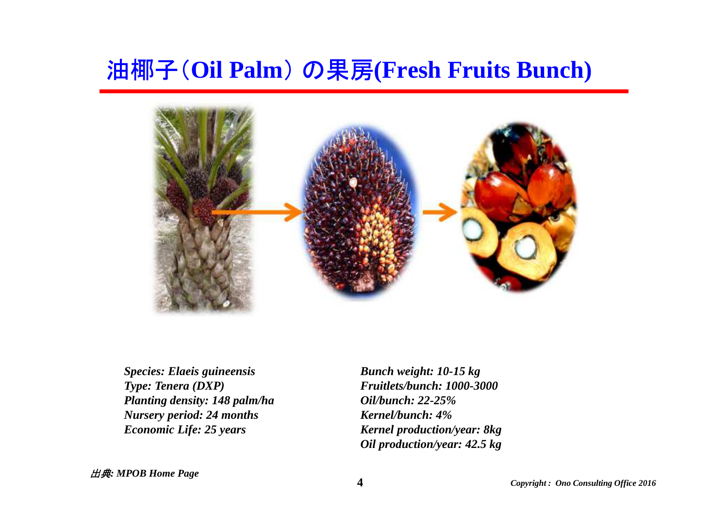## 油椰子(**Oil Palm**) の果房**(Fresh Fruits Bunch)**



*Species: Elaeis guineensisType: Tenera (DXP)Planting density: 148 palm/ha Nursery period: 24 monthsEconomic Life: 25 years*

*Bunch weight: 10-15 kg Fruitlets/bunch: 1000-3000Oil/bunch: 22-25% Kernel/bunch: 4% Kernel production/year: 8kgOil production/year: 42.5 kg*

出典*: MPOB Home Page*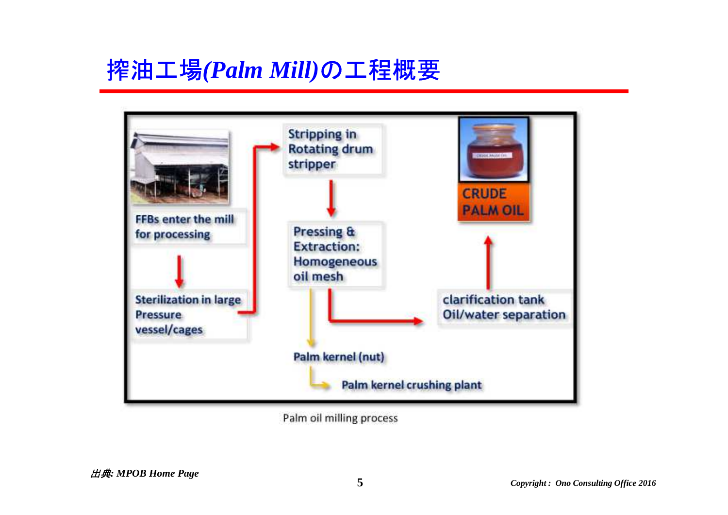### 搾油工場*(Palm Mill)*の工程概要



Palm oil milling process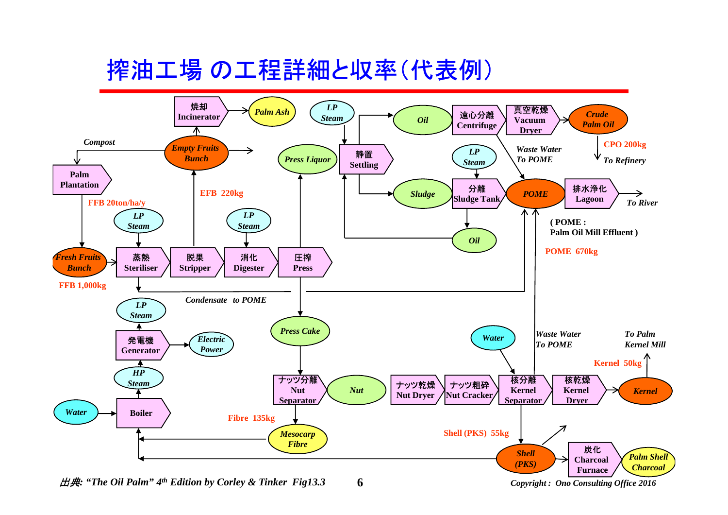# 搾油工場 の工程詳細と収率(代表例)



*Copyright : Ono Consulting Office 2016*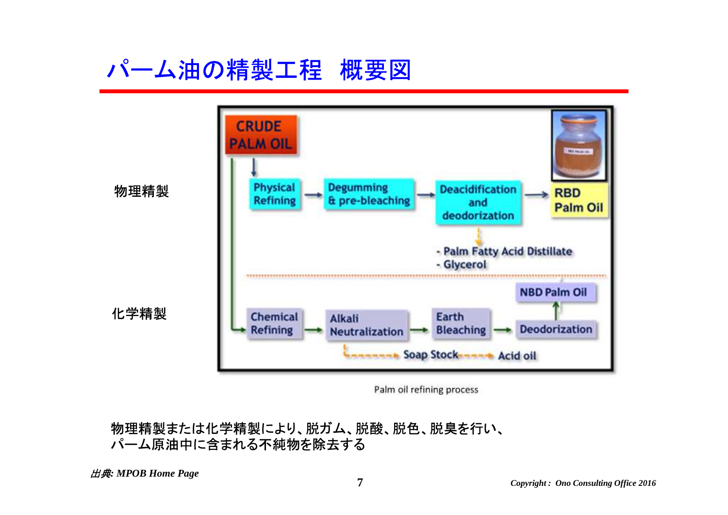# パーム油の精製工程 概要図



Palm oil refining process

#### 物理精製または化学精製により、脱ガム、脱酸、脱色、脱臭を行い、パーム原油中に含まれる不純物を除去する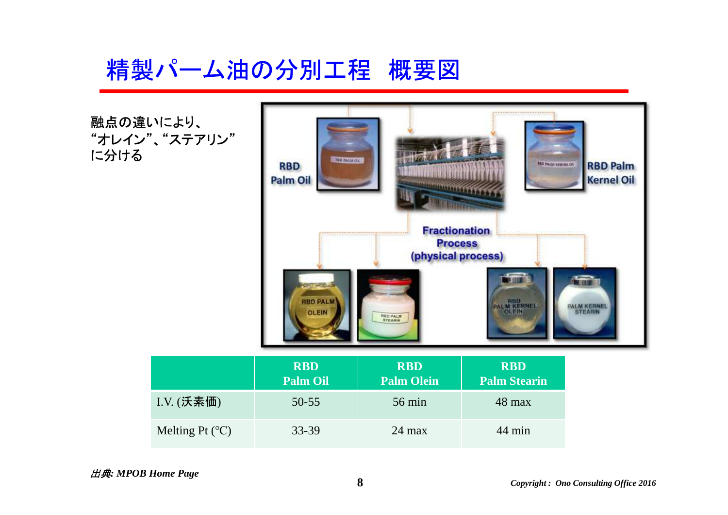精製パーム油の分別工程 概要図



出典*: MPOB Home Page*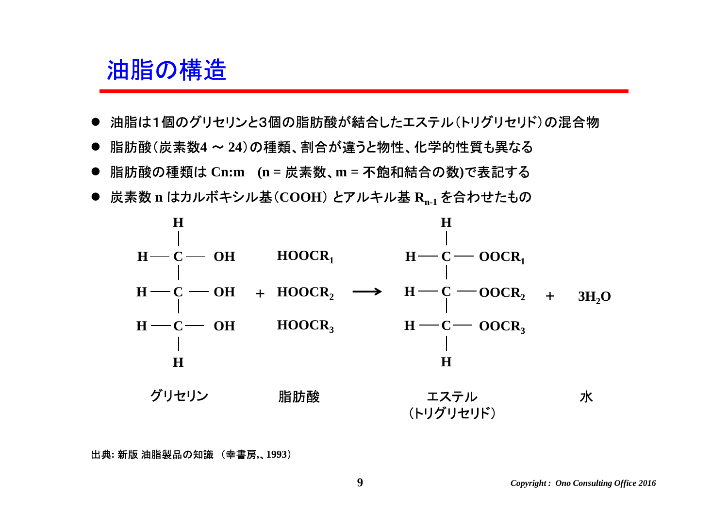### 油脂の構造

- 油脂は1個のグリセリンと3個の脂肪酸が結合したエステル(トリグリセリド)の混合物<br>→
- $\bullet$ 脂肪酸(炭素数**4** <sup>~</sup> **<sup>24</sup>**)の種類、割合が違うと物性、化学的性質も異なる
- 脂肪酸の種類は **Cn:m (n =** 炭素数、**m =** 不飽和結合の数**)**で表記する
- $\bullet$ 炭素数 **<sup>n</sup>**はカルボキシル基(**COOH**) とアルキル基 **<sup>R</sup>n-1** を合わせたもの



出典**:** 新版 油脂製品の知識 (幸書房**,**、**1993**)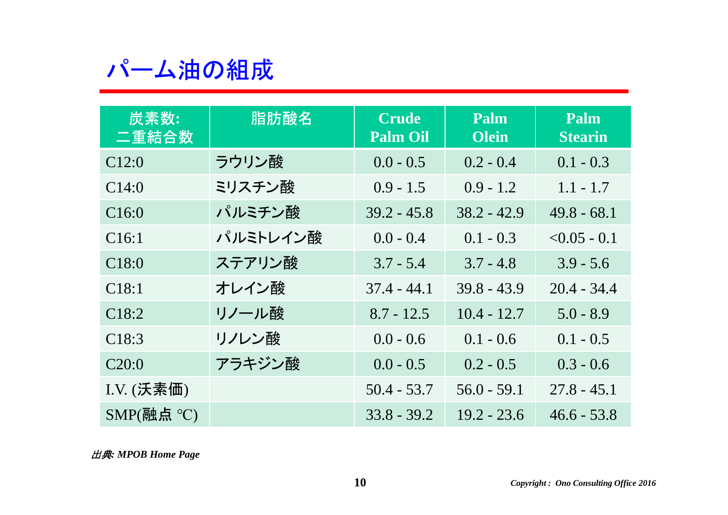## パーム油の組成

| 炭素数:<br>二重結合数                                                | 脂肪酸名     | <b>Crude</b><br><b>Palm Oil</b> | Palm<br><b>Olein</b> | Palm<br><b>Stearin</b> |
|--------------------------------------------------------------|----------|---------------------------------|----------------------|------------------------|
| C12:0                                                        | ラウリン酸    | $0.0 - 0.5$                     | $0.2 - 0.4$          | $0.1 - 0.3$            |
| C14:0                                                        | ミリスチン酸   | $0.9 - 1.5$                     | $0.9 - 1.2$          | $1.1 - 1.7$            |
| C16:0                                                        | パルミチン酸   | $39.2 - 45.8$                   | $38.2 - 42.9$        | $49.8 - 68.1$          |
| C16:1                                                        | パルミトレイン酸 | $0.0 - 0.4$                     | $0.1 - 0.3$          | $< 0.05 - 0.1$         |
| C18:0                                                        | ステアリン酸   | $3.7 - 5.4$                     | $3.7 - 4.8$          | $3.9 - 5.6$            |
| C18:1                                                        | オレイン酸    | $37.4 - 44.1$                   | $39.8 - 43.9$        | $20.4 - 34.4$          |
| C18:2                                                        | リノール酸    | $8.7 - 12.5$                    | $10.4 - 12.7$        | $5.0 - 8.9$            |
| C18:3                                                        | リノレン酸    | $0.0 - 0.6$                     | $0.1 - 0.6$          | $0.1 - 0.5$            |
| C20:0                                                        | アラキジン酸   | $0.0 - 0.5$                     | $0.2 - 0.5$          | $0.3 - 0.6$            |
| $I.V.$ $(\overline{\mathcal{F}}_n,\overline{\mathcal{F}}_n)$ |          | $50.4 - 53.7$                   | $56.0 - 59.1$        | $27.8 - 45.1$          |
| SMP(融点 °C)                                                   |          | $33.8 - 39.2$                   | $19.2 - 23.6$        | $46.6 - 53.8$          |

出典*: MPOB Home Page*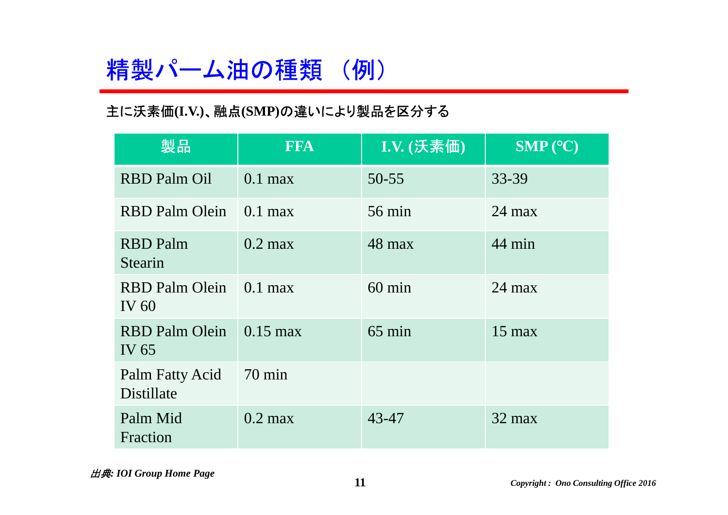# 精製パーム油の種類 (例)

#### 主に沃素価**(I.V.)**、融点**(SMP)**の違いにより製品を区分する

| 製品                               | <b>FFA</b>        | I.V. (沃素価)       | SMP (°C)         |
|----------------------------------|-------------------|------------------|------------------|
| <b>RBD Palm Oil</b>              | $0.1$ max         | $50 - 55$        | 33-39            |
| <b>RBD</b> Palm Olein            | $0.1$ max         | $56 \text{ min}$ | $24 \text{ max}$ |
| <b>RBD</b> Palm<br>Stearin       | $0.2$ max         | $48$ max         | 44 min           |
| <b>RBD</b> Palm Olein<br>IV $60$ | $0.1$ max         | $60 \text{ min}$ | $24 \text{ max}$ |
| <b>RBD Palm Olein</b><br>IV 65   | $0.15$ max        | $65 \text{ min}$ | $15 \text{ max}$ |
| Palm Fatty Acid<br>Distillate    | $70 \text{ min}$  |                  |                  |
| Palm Mid<br>Fraction             | $0.2 \text{ max}$ | 43-47            | $32 \text{ max}$ |

出典*: IOI Group Home Page*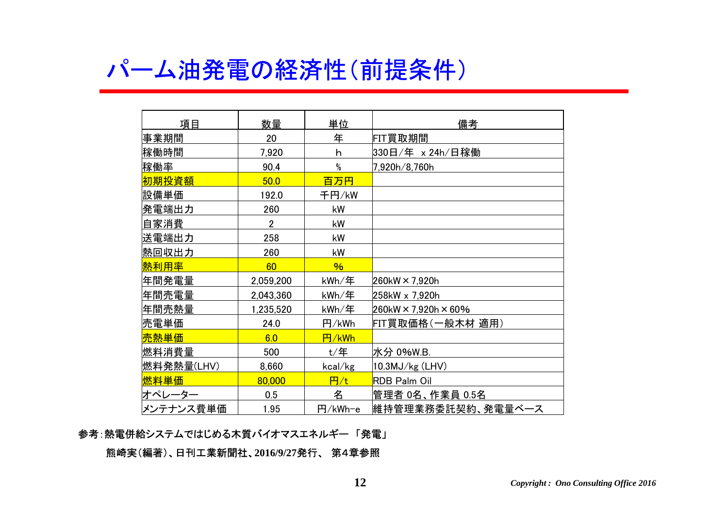### パーム油発電の経済性(前提条件)

| 項目         | 数量             | 単位            | 備考                      |
|------------|----------------|---------------|-------------------------|
| 事業期間       | 20             | 年             | FIT買取期間                 |
| 稼働時間       | 7,920          | h             | 330日/年 × 24h/日稼働        |
| 稼働率        | 90.4           | $\%$          | 7,920h/8,760h           |
| 初期投資額      | 50.0           | 百万円           |                         |
| 設備単価       | 192.0          | 千円/kW         |                         |
| 発電端出力      | 260            | kW            |                         |
| 自家消費       | $\overline{2}$ | kW            |                         |
| 送電端出力      | 258            | kW            |                         |
| 熱回収出力      | 260            | kW            |                         |
| 熱利用率       | 60             | $\frac{9}{6}$ |                         |
| 年間発電量      | 2,059,200      | kWh/年         | 260kW × 7,920h          |
| 年間売電量      | 2,043,360      | kWh/年         | 258kW x 7,920h          |
| 年間売熱量      | 1,235,520      | kWh/年         | $260$ kW × 7,920h × 60% |
| 売電単価       | 24.0           | 円/kWh         | FIT買取価格(一般木材 適用)        |
| 売熱単価       | 6.0            | 円/kWh         |                         |
| 燃料消費量      | 500            | $t/$ 年        | 水分 0%W.B.               |
| 燃料発熱量(LHV) | 8,660          | kcal/kg       | $10.3$ MJ $/kg$ (LHV)   |
| 燃料単価       | 80,000         | 円 $/t$        | <b>RDB Palm Oil</b>     |
| オペレーター     | 0.5            | 名             | 管理者 0名、作業員 0.5名         |
| メンテナンス費単価  | 1.95           | 円/kWh-e       | 維持管理業務委託契約、発電量ベース       |

#### 参考:熱電併給システムではじめる木質バイオマスエネルギー 「発電」

熊崎実(編著)、日刊工業新聞社、**2016/9/27**発行、 第4章参照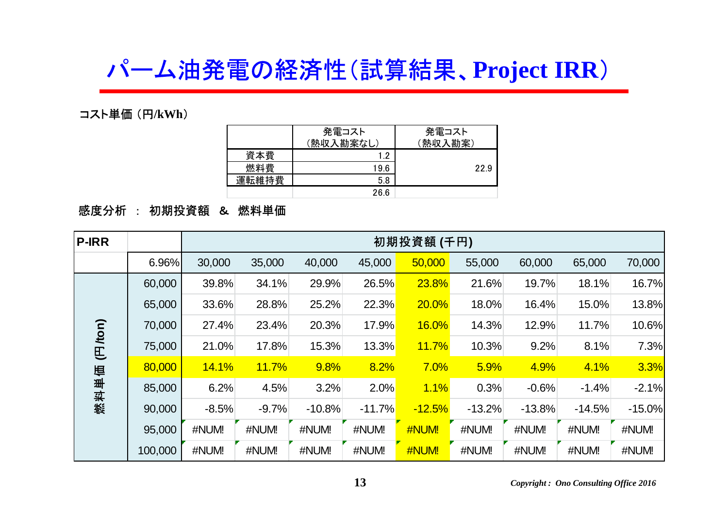## パーム油発電の経済性(試算結果、**Project IRR**)

コスト単価 (円**/kWh**)

|       | 発電コスト<br>(熱収入勘案なし) | 発電コスト<br>熟収入勘案) |
|-------|--------------------|-----------------|
| 資本費   | 1.2                |                 |
| 燃料費   | 19.6               | 22.9            |
| 運転維持費 | 5.8                |                 |
|       | 26.6               |                 |

### 感度分析 : 初期投資額 & 燃料単価

| <b>P-IRR</b> |         | 初期投資額 (千円)   |              |          |          |              |          |          |          |          |
|--------------|---------|--------------|--------------|----------|----------|--------------|----------|----------|----------|----------|
|              | 6.96%   | 30,000       | 35,000       | 40,000   | 45,000   | 50,000       | 55,000   | 60,000   | 65,000   | 70,000   |
|              | 60,000  | 39.8%        | 34.1%        | 29.9%    | 26.5%    | 23.8%        | 21.6%    | 19.7%    | 18.1%    | 16.7%    |
|              | 65,000  | 33.6%        | 28.8%        | 25.2%    | 22.3%    | 20.0%        | 18.0%    | 16.4%    | 15.0%    | 13.8%    |
|              | 70,000  | 27.4%        | 23.4%        | 20.3%    | 17.9%    | <b>16.0%</b> | 14.3%    | 12.9%    | 11.7%    | 10.6%    |
| (FJ/ton)     | 75,000  | 21.0%        | 17.8%        | 15.3%    | 13.3%    | <b>11.7%</b> | 10.3%    | 9.2%     | 8.1%     | 7.3%     |
|              | 80,000  | <b>14.1%</b> | <b>11.7%</b> | 9.8%     | 8.2%     | 7.0%         | 5.9%     | 4.9%     | 4.1%     | 3.3%     |
| 燃料单值         | 85,000  | 6.2%         | 4.5%         | 3.2%     | 2.0%     | 1.1%         | 0.3%     | $-0.6%$  | $-1.4%$  | $-2.1%$  |
|              | 90,000  | $-8.5%$      | $-9.7%$      | $-10.8%$ | $-11.7%$ | $-12.5%$     | $-13.2%$ | $-13.8%$ | $-14.5%$ | $-15.0%$ |
|              | 95,000  | #NUM!        | #NUM!        | #NUM!    | #NUM!    | #NUM!        | #NUM!    | #NUM!    | #NUM!    | #NUM!    |
|              | 100,000 | #NUM!        | #NUM!        | #NUM!    | #NUM!    | #NUM!        | #NUM!    | #NUM!    | #NUM!    | #NUM!    |